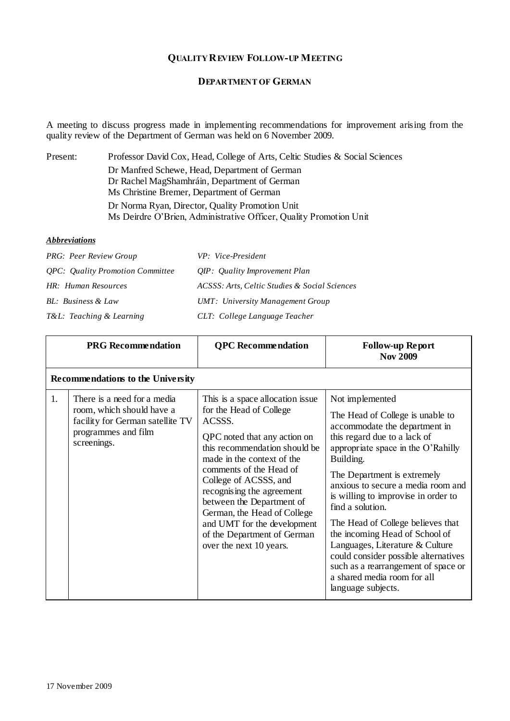## **QUALITY REVIEW FOLLOW-UP MEETING**

## **DEPARTMENT OF GERMAN**

A meeting to discuss progress made in implementing recommendations for improvement arising from the quality review of the Department of German was held on 6 November 2009.

| Present: | Professor David Cox, Head, College of Arts, Celtic Studies & Social Sciences |
|----------|------------------------------------------------------------------------------|
|          | Dr Manfred Schewe, Head, Department of German                                |
|          | Dr Rachel MagShamhráin, Department of German                                 |
|          | Ms Christine Bremer, Department of German                                    |
|          | Dr Norma Ryan, Director, Quality Promotion Unit                              |
|          | Ms Deirdre O'Brien, Administrative Officer, Quality Promotion Unit           |

## *Abbreviations*

| <b>PRG:</b> Peer Review Group                  | VP: Vice-President                            |
|------------------------------------------------|-----------------------------------------------|
| <i><b>OPC:</b> Quality Promotion Committee</i> | <i>OIP</i> : <i>Quality Improvement Plan</i>  |
| HR: Human Resources                            | ACSSS: Arts, Celtic Studies & Social Sciences |
| BL: Business & Law                             | UMT: University Management Group              |
| T&L: Teaching & Learning                       | CLT: College Language Teacher                 |

|    | <b>PRG</b> Recommendation                                                                                                          | <b>QPC</b> Recommendation                                                                                                                                                                                                                                                                                                                                                                                  | <b>Follow-up Report</b><br><b>Nov 2009</b>                                                                                                                                                                                                                                                                                                                                                                                                                                                                                                            |
|----|------------------------------------------------------------------------------------------------------------------------------------|------------------------------------------------------------------------------------------------------------------------------------------------------------------------------------------------------------------------------------------------------------------------------------------------------------------------------------------------------------------------------------------------------------|-------------------------------------------------------------------------------------------------------------------------------------------------------------------------------------------------------------------------------------------------------------------------------------------------------------------------------------------------------------------------------------------------------------------------------------------------------------------------------------------------------------------------------------------------------|
|    | Recommendations to the University                                                                                                  |                                                                                                                                                                                                                                                                                                                                                                                                            |                                                                                                                                                                                                                                                                                                                                                                                                                                                                                                                                                       |
| 1. | There is a need for a media<br>room, which should have a<br>facility for German satellite TV<br>programmes and film<br>screenings. | This is a space allocation issue<br>for the Head of College<br>ACSSS.<br>QPC noted that any action on<br>this recommendation should be<br>made in the context of the<br>comments of the Head of<br>College of ACSSS, and<br>recognising the agreement<br>between the Department of<br>German, the Head of College<br>and UMT for the development<br>of the Department of German<br>over the next 10 years. | Not implemented<br>The Head of College is unable to<br>accommodate the department in<br>this regard due to a lack of<br>appropriate space in the O'Rahilly<br>Building.<br>The Department is extremely<br>anxious to secure a media room and<br>is willing to improvise in order to<br>find a solution.<br>The Head of College believes that<br>the incoming Head of School of<br>Languages, Literature & Culture<br>could consider possible alternatives<br>such as a rearrangement of space or<br>a shared media room for all<br>language subjects. |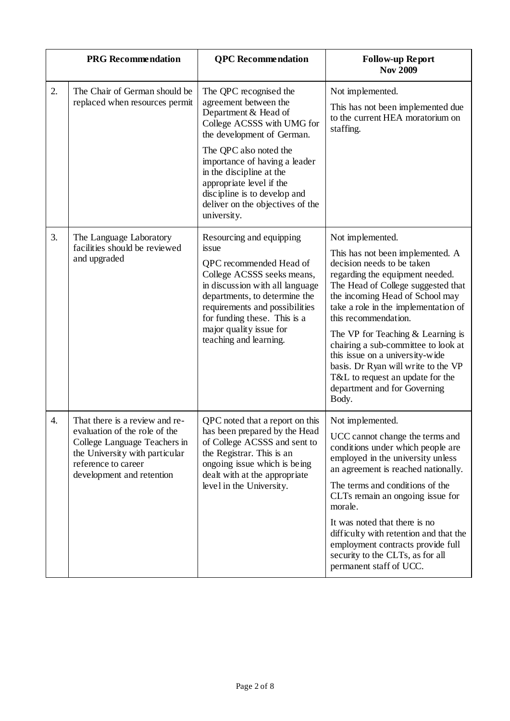|    | <b>PRG</b> Recommendation                                                                                                                                                             | <b>QPC</b> Recommendation                                                                                                                                                                                                                                                             | <b>Follow-up Report</b><br><b>Nov 2009</b>                                                                                                                                                                                                                                                                                                                                                                                                                                                          |
|----|---------------------------------------------------------------------------------------------------------------------------------------------------------------------------------------|---------------------------------------------------------------------------------------------------------------------------------------------------------------------------------------------------------------------------------------------------------------------------------------|-----------------------------------------------------------------------------------------------------------------------------------------------------------------------------------------------------------------------------------------------------------------------------------------------------------------------------------------------------------------------------------------------------------------------------------------------------------------------------------------------------|
| 2. | The Chair of German should be<br>replaced when resources permit                                                                                                                       | The QPC recognised the<br>agreement between the<br>Department & Head of<br>College ACSSS with UMG for<br>the development of German.                                                                                                                                                   | Not implemented.<br>This has not been implemented due<br>to the current HEA moratorium on<br>staffing.                                                                                                                                                                                                                                                                                                                                                                                              |
|    |                                                                                                                                                                                       | The QPC also noted the<br>importance of having a leader<br>in the discipline at the<br>appropriate level if the<br>discipline is to develop and<br>deliver on the objectives of the<br>university.                                                                                    |                                                                                                                                                                                                                                                                                                                                                                                                                                                                                                     |
| 3. | The Language Laboratory<br>facilities should be reviewed<br>and upgraded                                                                                                              | Resourcing and equipping<br>issue<br>QPC recommended Head of<br>College ACSSS seeks means,<br>in discussion with all language<br>departments, to determine the<br>requirements and possibilities<br>for funding these. This is a<br>major quality issue for<br>teaching and learning. | Not implemented.<br>This has not been implemented. A<br>decision needs to be taken<br>regarding the equipment needed.<br>The Head of College suggested that<br>the incoming Head of School may<br>take a role in the implementation of<br>this recommendation.<br>The VP for Teaching $&$ Learning is<br>chairing a sub-committee to look at<br>this issue on a university-wide<br>basis. Dr Ryan will write to the VP<br>T&L to request an update for the<br>department and for Governing<br>Body. |
| 4. | That there is a review and re-<br>evaluation of the role of the<br>College Language Teachers in<br>the University with particular<br>reference to career<br>development and retention | QPC noted that a report on this<br>has been prepared by the Head<br>of College ACSSS and sent to<br>the Registrar. This is an<br>ongoing issue which is being<br>dealt with at the appropriate<br>level in the University.                                                            | Not implemented.<br>UCC cannot change the terms and<br>conditions under which people are<br>employed in the university unless<br>an agreement is reached nationally.<br>The terms and conditions of the<br>CLTs remain an ongoing issue for<br>morale.<br>It was noted that there is no<br>difficulty with retention and that the<br>employment contracts provide full<br>security to the CLTs, as for all<br>permanent staff of UCC.                                                               |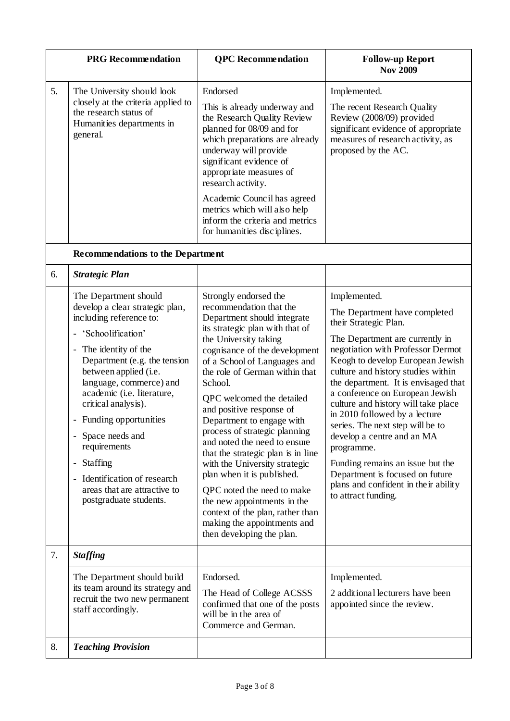|    | <b>PRG</b> Recommendation                                                                                                                                                                                                                                                                                                                                                                                                                                                                                                                                                 | <b>QPC</b> Recommendation                                                                                                                                                                                                                                                                                                                                                                                                                                                                                                                                                                                                                                                          | <b>Follow-up Report</b><br><b>Nov 2009</b>                                                                                                                                                                                                                                                                                                                                                                                                                                                                                                                                                        |
|----|---------------------------------------------------------------------------------------------------------------------------------------------------------------------------------------------------------------------------------------------------------------------------------------------------------------------------------------------------------------------------------------------------------------------------------------------------------------------------------------------------------------------------------------------------------------------------|------------------------------------------------------------------------------------------------------------------------------------------------------------------------------------------------------------------------------------------------------------------------------------------------------------------------------------------------------------------------------------------------------------------------------------------------------------------------------------------------------------------------------------------------------------------------------------------------------------------------------------------------------------------------------------|---------------------------------------------------------------------------------------------------------------------------------------------------------------------------------------------------------------------------------------------------------------------------------------------------------------------------------------------------------------------------------------------------------------------------------------------------------------------------------------------------------------------------------------------------------------------------------------------------|
| 5. | The University should look<br>closely at the criteria applied to<br>the research status of<br>Humanities departments in<br>general.                                                                                                                                                                                                                                                                                                                                                                                                                                       | Endorsed<br>This is already underway and<br>the Research Quality Review<br>planned for 08/09 and for<br>which preparations are already<br>underway will provide<br>significant evidence of<br>appropriate measures of<br>research activity.<br>Academic Council has agreed<br>metrics which will also help<br>inform the criteria and metrics<br>for humanities disciplines.                                                                                                                                                                                                                                                                                                       | Implemented.<br>The recent Research Quality<br>Review (2008/09) provided<br>significant evidence of appropriate<br>measures of research activity, as<br>proposed by the AC.                                                                                                                                                                                                                                                                                                                                                                                                                       |
|    | Recommendations to the Department                                                                                                                                                                                                                                                                                                                                                                                                                                                                                                                                         |                                                                                                                                                                                                                                                                                                                                                                                                                                                                                                                                                                                                                                                                                    |                                                                                                                                                                                                                                                                                                                                                                                                                                                                                                                                                                                                   |
| 6. | <b>Strategic Plan</b>                                                                                                                                                                                                                                                                                                                                                                                                                                                                                                                                                     |                                                                                                                                                                                                                                                                                                                                                                                                                                                                                                                                                                                                                                                                                    |                                                                                                                                                                                                                                                                                                                                                                                                                                                                                                                                                                                                   |
|    | The Department should<br>develop a clear strategic plan,<br>including reference to:<br>'Schoolification'<br>$\overline{\phantom{a}}$<br>The identity of the<br>$\blacksquare$<br>Department (e.g. the tension<br>between applied (i.e.<br>language, commerce) and<br>academic (i.e. literature,<br>critical analysis).<br>- Funding opportunities<br>Space needs and<br>$\blacksquare$<br>requirements<br><b>Staffing</b><br>$\overline{\phantom{a}}$<br>Identification of research<br>$\overline{\phantom{a}}$<br>areas that are attractive to<br>postgraduate students. | Strongly endorsed the<br>recommendation that the<br>Department should integrate<br>its strategic plan with that of<br>the University taking<br>cognisance of the development<br>of a School of Languages and<br>the role of German within that<br>School.<br>QPC welcomed the detailed<br>and positive response of<br>Department to engage with<br>process of strategic planning<br>and noted the need to ensure<br>that the strategic plan is in line<br>with the University strategic<br>plan when it is published.<br>QPC noted the need to make<br>the new appointments in the<br>context of the plan, rather than<br>making the appointments and<br>then developing the plan. | Implemented.<br>The Department have completed<br>their Strategic Plan.<br>The Department are currently in<br>negotiation with Professor Dermot<br>Keogh to develop European Jewish<br>culture and history studies within<br>the department. It is envisaged that<br>a conference on European Jewish<br>culture and history will take place<br>in 2010 followed by a lecture<br>series. The next step will be to<br>develop a centre and an MA<br>programme.<br>Funding remains an issue but the<br>Department is focused on future<br>plans and confident in their ability<br>to attract funding. |
| 7. | <b>Staffing</b>                                                                                                                                                                                                                                                                                                                                                                                                                                                                                                                                                           |                                                                                                                                                                                                                                                                                                                                                                                                                                                                                                                                                                                                                                                                                    |                                                                                                                                                                                                                                                                                                                                                                                                                                                                                                                                                                                                   |
|    | The Department should build<br>its team around its strategy and<br>recruit the two new permanent<br>staff accordingly.                                                                                                                                                                                                                                                                                                                                                                                                                                                    | Endorsed.<br>The Head of College ACSSS<br>confirmed that one of the posts<br>will be in the area of<br>Commerce and German.                                                                                                                                                                                                                                                                                                                                                                                                                                                                                                                                                        | Implemented.<br>2 additional lecturers have been<br>appointed since the review.                                                                                                                                                                                                                                                                                                                                                                                                                                                                                                                   |
| 8. | <b>Teaching Provision</b>                                                                                                                                                                                                                                                                                                                                                                                                                                                                                                                                                 |                                                                                                                                                                                                                                                                                                                                                                                                                                                                                                                                                                                                                                                                                    |                                                                                                                                                                                                                                                                                                                                                                                                                                                                                                                                                                                                   |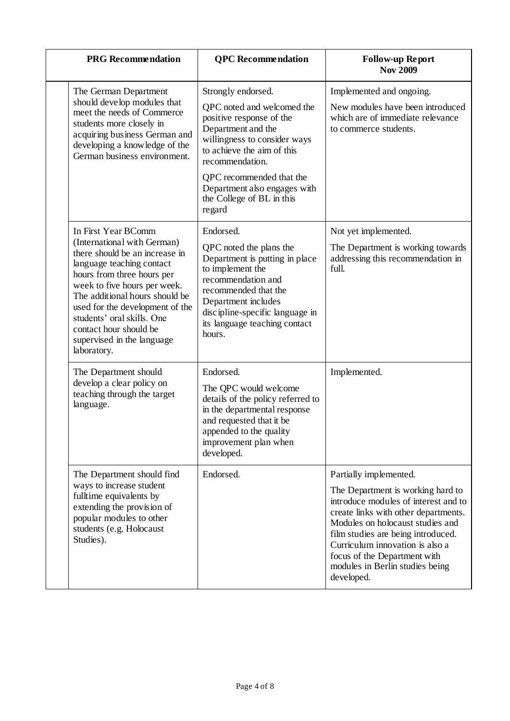| <b>PRG</b> Recommendation                                                                                                                                                                                                                                                                                                                                 | <b>QPC</b> Recommendation                                                                                                                                                                                                                                                            | <b>Follow-up Report</b><br><b>Nov 2009</b>                                                                                                                                                                                                                                                                                                |
|-----------------------------------------------------------------------------------------------------------------------------------------------------------------------------------------------------------------------------------------------------------------------------------------------------------------------------------------------------------|--------------------------------------------------------------------------------------------------------------------------------------------------------------------------------------------------------------------------------------------------------------------------------------|-------------------------------------------------------------------------------------------------------------------------------------------------------------------------------------------------------------------------------------------------------------------------------------------------------------------------------------------|
| The German Department<br>should develop modules that<br>meet the needs of Commerce<br>students more closely in<br>acquiring business German and<br>developing a knowledge of the<br>German business environment.                                                                                                                                          | Strongly endorsed.<br>QPC noted and welcomed the<br>positive response of the<br>Department and the<br>willingness to consider ways<br>to achieve the aim of this<br>recommendation.<br>QPC recommended that the<br>Department also engages with                                      | Implemented and ongoing.<br>New modules have been introduced<br>which are of immediate relevance<br>to commerce students.                                                                                                                                                                                                                 |
| In First Year BComm<br>(International with German)<br>there should be an increase in<br>language teaching contact<br>hours from three hours per<br>week to five hours per week.<br>The additional hours should be<br>used for the development of the<br>students' oral skills. One<br>contact hour should be<br>supervised in the language<br>laboratory. | the College of BL in this<br>regard<br>Endorsed.<br>QPC noted the plans the<br>Department is putting in place<br>to implement the<br>recommendation and<br>recommended that the<br>Department includes<br>discipline-specific language in<br>its language teaching contact<br>hours. | Not yet implemented.<br>The Department is working towards<br>addressing this recommendation in<br>full.                                                                                                                                                                                                                                   |
| The Department should<br>develop a clear policy on<br>teaching through the target<br>language.                                                                                                                                                                                                                                                            | Endorsed.<br>The QPC would welcome<br>details of the policy referred to<br>in the departmental response<br>and requested that it be<br>appended to the quality<br>improvement plan when<br>developed.                                                                                | Implemented.                                                                                                                                                                                                                                                                                                                              |
| The Department should find<br>ways to increase student<br>fulltime equivalents by<br>extending the provision of<br>popular modules to other<br>students (e.g. Holocaust<br>Studies).                                                                                                                                                                      | Endorsed.                                                                                                                                                                                                                                                                            | Partially implemented.<br>The Department is working hard to<br>introduce modules of interest and to<br>create links with other departments.<br>Modules on holocaust studies and<br>film studies are being introduced.<br>Curriculum innovation is also a<br>focus of the Department with<br>modules in Berlin studies being<br>developed. |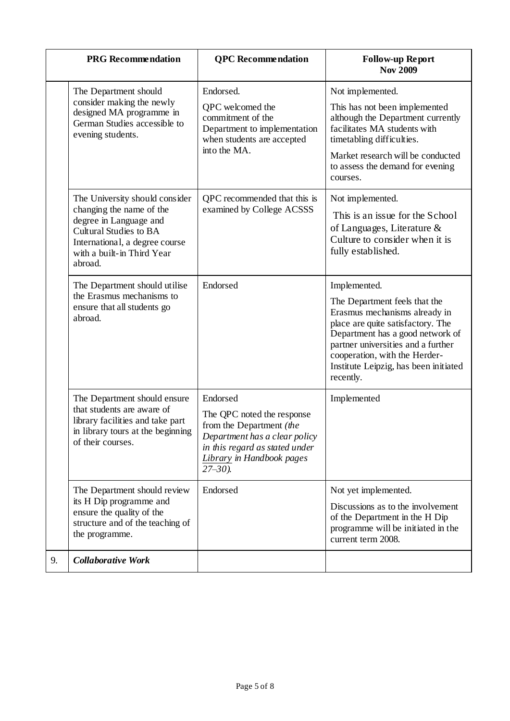|    | <b>PRG</b> Recommendation                                                                                                                                                                        | <b>QPC</b> Recommendation                                                                                                                                                          | <b>Follow-up Report</b><br><b>Nov 2009</b>                                                                                                                                                                                                                                           |
|----|--------------------------------------------------------------------------------------------------------------------------------------------------------------------------------------------------|------------------------------------------------------------------------------------------------------------------------------------------------------------------------------------|--------------------------------------------------------------------------------------------------------------------------------------------------------------------------------------------------------------------------------------------------------------------------------------|
|    | The Department should<br>consider making the newly<br>designed MA programme in<br>German Studies accessible to<br>evening students.                                                              | Endorsed.<br>QPC welcomed the<br>commitment of the<br>Department to implementation<br>when students are accepted<br>into the MA.                                                   | Not implemented.<br>This has not been implemented<br>although the Department currently<br>facilitates MA students with<br>timetabling difficulties.<br>Market research will be conducted<br>to assess the demand for evening<br>courses.                                             |
|    | The University should consider<br>changing the name of the<br>degree in Language and<br><b>Cultural Studies to BA</b><br>International, a degree course<br>with a built-in Third Year<br>abroad. | QPC recommended that this is<br>examined by College ACSSS                                                                                                                          | Not implemented.<br>This is an issue for the School<br>of Languages, Literature $\&$<br>Culture to consider when it is<br>fully established.                                                                                                                                         |
|    | The Department should utilise<br>the Erasmus mechanisms to<br>ensure that all students go<br>abroad.                                                                                             | Endorsed                                                                                                                                                                           | Implemented.<br>The Department feels that the<br>Erasmus mechanisms already in<br>place are quite satisfactory. The<br>Department has a good network of<br>partner universities and a further<br>cooperation, with the Herder-<br>Institute Leipzig, has been initiated<br>recently. |
|    | The Department should ensure<br>that students are aware of<br>library facilities and take part<br>in library tours at the beginning<br>of their courses.                                         | Endorsed<br>The QPC noted the response<br>from the Department (the<br>Department has a clear policy<br>in this regard as stated under<br>Library in Handbook pages<br>$27 - 30$ ). | Implemented                                                                                                                                                                                                                                                                          |
|    | The Department should review<br>its H Dip programme and<br>ensure the quality of the<br>structure and of the teaching of<br>the programme.                                                       | Endorsed                                                                                                                                                                           | Not yet implemented.<br>Discussions as to the involvement<br>of the Department in the H Dip<br>programme will be initiated in the<br>current term 2008.                                                                                                                              |
| 9. | <b>Collaborative Work</b>                                                                                                                                                                        |                                                                                                                                                                                    |                                                                                                                                                                                                                                                                                      |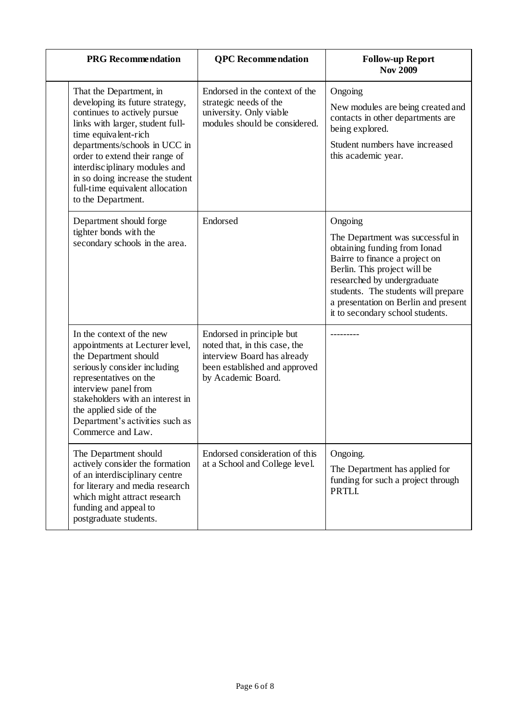| <b>PRG</b> Recommendation                                                                                                                                                                                                                                                                                                                               | <b>QPC</b> Recommendation                                                                                                                        | <b>Follow-up Report</b><br><b>Nov 2009</b>                                                                                                                                                                                                                                                      |
|---------------------------------------------------------------------------------------------------------------------------------------------------------------------------------------------------------------------------------------------------------------------------------------------------------------------------------------------------------|--------------------------------------------------------------------------------------------------------------------------------------------------|-------------------------------------------------------------------------------------------------------------------------------------------------------------------------------------------------------------------------------------------------------------------------------------------------|
| That the Department, in<br>developing its future strategy,<br>continues to actively pursue<br>links with larger, student full-<br>time equivalent-rich<br>departments/schools in UCC in<br>order to extend their range of<br>interdisciplinary modules and<br>in so doing increase the student<br>full-time equivalent allocation<br>to the Department. | Endorsed in the context of the<br>strategic needs of the<br>university. Only viable<br>modules should be considered.                             | Ongoing<br>New modules are being created and<br>contacts in other departments are<br>being explored.<br>Student numbers have increased<br>this academic year.                                                                                                                                   |
| Department should forge<br>tighter bonds with the<br>secondary schools in the area.                                                                                                                                                                                                                                                                     | Endorsed                                                                                                                                         | Ongoing<br>The Department was successful in<br>obtaining funding from Ionad<br>Bairre to finance a project on<br>Berlin. This project will be<br>researched by undergraduate<br>students. The students will prepare<br>a presentation on Berlin and present<br>it to secondary school students. |
| In the context of the new<br>appointments at Lecturer level,<br>the Department should<br>seriously consider including<br>representatives on the<br>interview panel from<br>stakeholders with an interest in<br>the applied side of the<br>Department's activities such as<br>Commerce and Law.                                                          | Endorsed in principle but<br>noted that, in this case, the<br>interview Board has already<br>been established and approved<br>by Academic Board. |                                                                                                                                                                                                                                                                                                 |
| The Department should<br>actively consider the formation<br>of an interdisciplinary centre<br>for literary and media research<br>which might attract research<br>funding and appeal to<br>postgraduate students.                                                                                                                                        | Endorsed consideration of this<br>at a School and College level.                                                                                 | Ongoing.<br>The Department has applied for<br>funding for such a project through<br>PRTLI.                                                                                                                                                                                                      |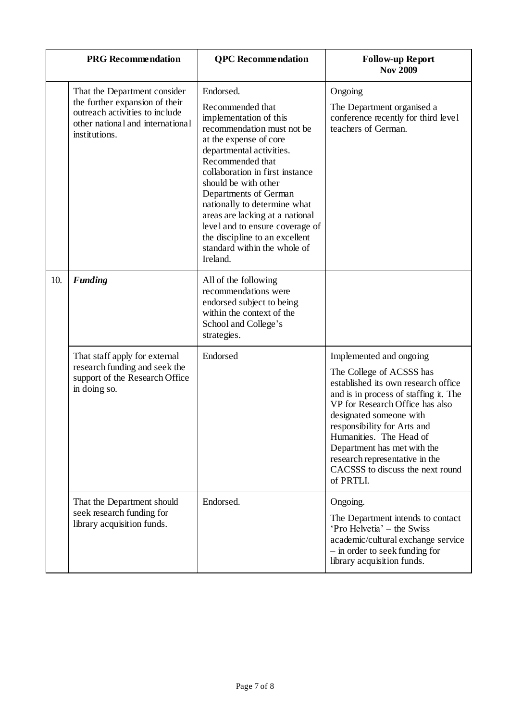|     | <b>PRG</b> Recommendation                                                                                                                             | <b>QPC</b> Recommendation                                                                                                                                                                                                                                                                                                                                                                                                               | <b>Follow-up Report</b><br><b>Nov 2009</b>                                                                                                                                                                                                                                                                                                                                    |
|-----|-------------------------------------------------------------------------------------------------------------------------------------------------------|-----------------------------------------------------------------------------------------------------------------------------------------------------------------------------------------------------------------------------------------------------------------------------------------------------------------------------------------------------------------------------------------------------------------------------------------|-------------------------------------------------------------------------------------------------------------------------------------------------------------------------------------------------------------------------------------------------------------------------------------------------------------------------------------------------------------------------------|
|     | That the Department consider<br>the further expansion of their<br>outreach activities to include<br>other national and international<br>institutions. | Endorsed.<br>Recommended that<br>implementation of this<br>recommendation must not be<br>at the expense of core<br>departmental activities.<br>Recommended that<br>collaboration in first instance<br>should be with other<br>Departments of German<br>nationally to determine what<br>areas are lacking at a national<br>level and to ensure coverage of<br>the discipline to an excellent<br>standard within the whole of<br>Ireland. | Ongoing<br>The Department organised a<br>conference recently for third level<br>teachers of German.                                                                                                                                                                                                                                                                           |
| 10. | <b>Funding</b>                                                                                                                                        | All of the following<br>recommendations were<br>endorsed subject to being<br>within the context of the<br>School and College's<br>strategies.                                                                                                                                                                                                                                                                                           |                                                                                                                                                                                                                                                                                                                                                                               |
|     | That staff apply for external<br>research funding and seek the<br>support of the Research Office<br>in doing so.                                      | Endorsed                                                                                                                                                                                                                                                                                                                                                                                                                                | Implemented and ongoing<br>The College of ACSSS has<br>established its own research office<br>and is in process of staffing it. The<br>VP for Research Office has also<br>designated someone with<br>responsibility for Arts and<br>Humanities. The Head of<br>Department has met with the<br>research representative in the<br>CACSSS to discuss the next round<br>of PRTLI. |
|     | That the Department should<br>seek research funding for<br>library acquisition funds.                                                                 | Endorsed.                                                                                                                                                                                                                                                                                                                                                                                                                               | Ongoing.<br>The Department intends to contact<br>'Pro Helvetia' – the Swiss<br>academic/cultural exchange service<br>- in order to seek funding for<br>library acquisition funds.                                                                                                                                                                                             |